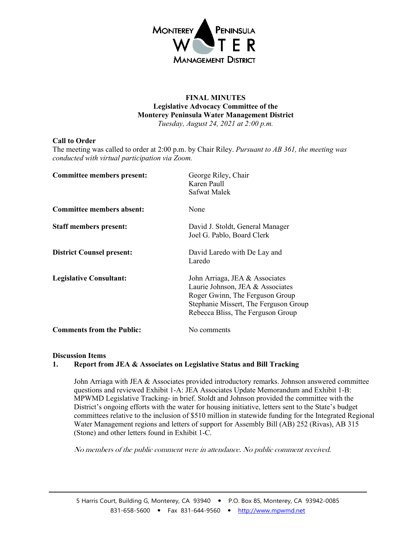

## **FINAL MINUTES Legislative Advocacy Committee of the Monterey Peninsula Water Management District** *Tuesday, August 24, 2021 at 2:00 p.m.*

# **Call to Order**

The meeting was called to order at 2:00 p.m. by Chair Riley. *Pursuant to AB 361, the meeting was conducted with virtual participation via Zoom.* 

| <b>Committee members present:</b> | George Riley, Chair<br>Karen Paull<br>Safwat Malek                                                                                                                                  |
|-----------------------------------|-------------------------------------------------------------------------------------------------------------------------------------------------------------------------------------|
| Committee members absent:         | None                                                                                                                                                                                |
| <b>Staff members present:</b>     | David J. Stoldt, General Manager<br>Joel G. Pablo, Board Clerk                                                                                                                      |
| <b>District Counsel present:</b>  | David Laredo with De Lay and<br>Laredo                                                                                                                                              |
| <b>Legislative Consultant:</b>    | John Arriaga, JEA & Associates<br>Laurie Johnson, JEA & Associates<br>Roger Gwinn, The Ferguson Group<br>Stephanie Missert, The Ferguson Group<br>Rebecca Bliss, The Ferguson Group |
| <b>Comments from the Public:</b>  | No comments                                                                                                                                                                         |

#### **Discussion Items**

## **1. Report from JEA & Associates on Legislative Status and Bill Tracking**

John Arriaga with JEA & Associates provided introductory remarks. Johnson answered committee questions and reviewed Exhibit 1-A: JEA Associates Update Memorandum and Exhibit 1-B: MPWMD Legislative Tracking- in brief. Stoldt and Johnson provided the committee with the District's ongoing efforts with the water for housing initiative, letters sent to the State's budget committees relative to the inclusion of \$510 million in statewide funding for the Integrated Regional Water Management regions and letters of support for Assembly Bill (AB) 252 (Rivas), AB 315 (Stone) and other letters found in Exhibit 1-C.

No members of the public comment were in attendance. No public comment received.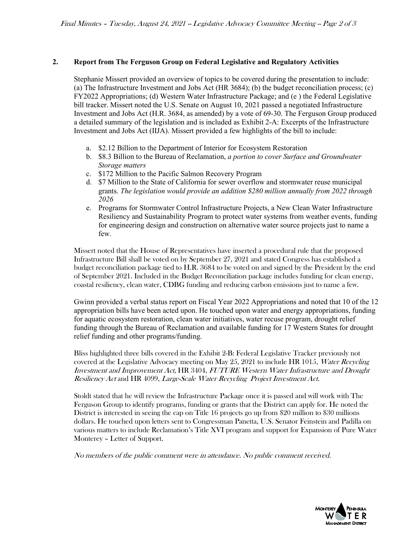## **2. Report from The Ferguson Group on Federal Legislative and Regulatory Activities**

Stephanie Missert provided an overview of topics to be covered during the presentation to include: (a) The Infrastructure Investment and Jobs Act (HR 3684); (b) the budget reconciliation process; (c) FY2022 Appropriations; (d) Western Water Infrastructure Package; and (e ) the Federal Legislative bill tracker. Missert noted the U.S. Senate on August 10, 2021 passed a negotiated Infrastructure Investment and Jobs Act (H.R. 3684, as amended) by a vote of 69-30. The Ferguson Group produced a detailed summary of the legislation and is included as Exhibit 2-A: Excerpts of the Infrastructure Investment and Jobs Act (IIJA). Missert provided a few highlights of the bill to include:

- a. \$2.12 Billion to the Department of Interior for Ecosystem Restoration
- b. \$8.3 Billion to the Bureau of Reclamation, *a portion to cover Surface and Groundwater Storage matters*
- c. \$172 Million to the Pacific Salmon Recovery Program
- d. \$7 Million to the State of California for sewer overflow and stormwater reuse municipal grants. *The legislation would provide an addition \$280 million annually from 2022 through 2026*
- e. Programs for Stormwater Control Infrastructure Projects, a New Clean Water Infrastructure Resiliency and Sustainability Program to protect water systems from weather events, funding for engineering design and construction on alternative water source projects just to name a few.

Missert noted that the House of Representatives have inserted a procedural rule that the proposed Infrastructure Bill shall be voted on by September 27, 2021 and stated Congress has established a budget reconciliation package tied to H.R. 3684 to be voted on and signed by the President by the end of September 2021. Included in the Budget Reconciliation package includes funding for clean energy, coastal resiliency, clean water, CDBG funding and reducing carbon emissions just to name a few.

Gwinn provided a verbal status report on Fiscal Year 2022 Appropriations and noted that 10 of the 12 appropriation bills have been acted upon. He touched upon water and energy appropriations, funding for aquatic ecosystem restoration, clean water initiatives, water recuse program, drought relief funding through the Bureau of Reclamation and available funding for 17 Western States for drought relief funding and other programs/funding.

Bliss highlighted three bills covered in the Exhibit 2-B: Federal Legislative Tracker previously not covered at the Legislative Advocacy meeting on May 25, 2021 to include HR 1015, Water Recycling Investment and Improvement Act, HR 3404, FUTURE Western Water Infrastructure and Drought Resiliency Act and HR 4099, Large-Scale Water Recycling Project Investment Act.

Stoldt stated that he will review the Infrastructure Package once it is passed and will work with The Ferguson Group to identify programs, funding or grants that the District can apply for. He noted the District is interested in seeing the cap on Title 16 projects go up from \$20 million to \$30 millions dollars. He touched upon letters sent to Congressman Panetta, U.S. Senator Feinstein and Padilla on various matters to include Reclamation's Title XVI program and support for Expansion of Pure Water Monterey – Letter of Support.

No members of the public comment were in attendance. No public comment received.